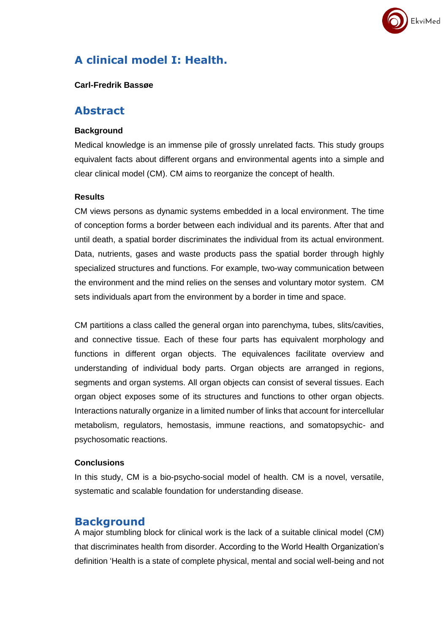

# **A clinical model I: Health.**

#### **Carl-Fredrik Bassøe**

### **Abstract**

#### **Background**

Medical knowledge is an immense pile of grossly unrelated facts. This study groups equivalent facts about different organs and environmental agents into a simple and clear clinical model (CM). CM aims to reorganize the concept of health.

#### **Results**

CM views persons as dynamic systems embedded in a local environment. The time of conception forms a border between each individual and its parents. After that and until death, a spatial border discriminates the individual from its actual environment. Data, nutrients, gases and waste products pass the spatial border through highly specialized structures and functions. For example, two-way communication between the environment and the mind relies on the senses and voluntary motor system. CM sets individuals apart from the environment by a border in time and space.

CM partitions a class called the general organ into parenchyma, tubes, slits/cavities, and connective tissue. Each of these four parts has equivalent morphology and functions in different organ objects. The equivalences facilitate overview and understanding of individual body parts. Organ objects are arranged in regions, segments and organ systems. All organ objects can consist of several tissues. Each organ object exposes some of its structures and functions to other organ objects. Interactions naturally organize in a limited number of links that account for intercellular metabolism, regulators, hemostasis, immune reactions, and somatopsychic- and psychosomatic reactions.

#### **Conclusions**

In this study, CM is a bio-psycho-social model of health. CM is a novel, versatile, systematic and scalable foundation for understanding disease.

### **Background**

A major stumbling block for clinical work is the lack of a suitable clinical model (CM) that discriminates health from disorder. According to the World Health Organization's definition 'Health is a state of complete physical, mental and social well-being and not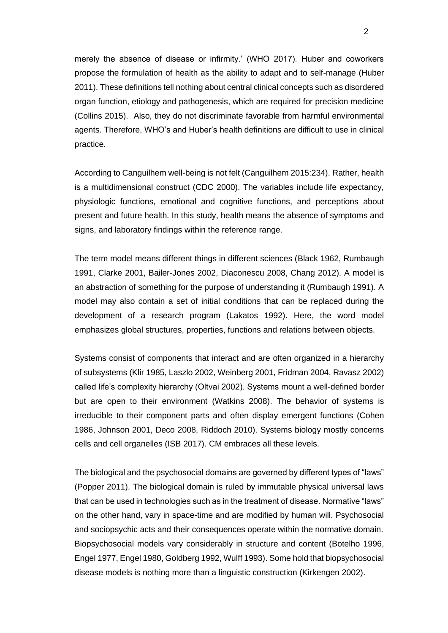merely the absence of disease or infirmity.' (WHO 2017). Huber and coworkers propose the formulation of health as the ability to adapt and to self-manage (Huber 2011). These definitions tell nothing about central clinical concepts such as disordered organ function, etiology and pathogenesis, which are required for precision medicine (Collins 2015). Also, they do not discriminate favorable from harmful environmental agents. Therefore, WHO's and Huber's health definitions are difficult to use in clinical practice.

According to Canguilhem well-being is not felt (Canguilhem 2015:234). Rather, health is a multidimensional construct (CDC 2000). The variables include life expectancy, physiologic functions, emotional and cognitive functions, and perceptions about present and future health. In this study, health means the absence of symptoms and signs, and laboratory findings within the reference range.

The term model means different things in different sciences (Black 1962, Rumbaugh 1991, Clarke 2001, Bailer-Jones 2002, Diaconescu 2008, Chang 2012). A model is an abstraction of something for the purpose of understanding it (Rumbaugh 1991). A model may also contain a set of initial conditions that can be replaced during the development of a research program (Lakatos 1992). Here, the word model emphasizes global structures, properties, functions and relations between objects.

Systems consist of components that interact and are often organized in a hierarchy of subsystems (Klir 1985, Laszlo 2002, Weinberg 2001, Fridman 2004, Ravasz 2002) called life's complexity hierarchy (Oltvai 2002). Systems mount a well-defined border but are open to their environment (Watkins 2008). The behavior of systems is irreducible to their component parts and often display emergent functions (Cohen 1986, Johnson 2001, Deco 2008, Riddoch 2010). Systems biology mostly concerns cells and cell organelles (ISB 2017). CM embraces all these levels.

The biological and the psychosocial domains are governed by different types of "laws" (Popper 2011). The biological domain is ruled by immutable physical universal laws that can be used in technologies such as in the treatment of disease. Normative "laws" on the other hand, vary in space-time and are modified by human will. Psychosocial and sociopsychic acts and their consequences operate within the normative domain. Biopsychosocial models vary considerably in structure and content (Botelho 1996, Engel 1977, Engel 1980, Goldberg 1992, Wulff 1993). Some hold that biopsychosocial disease models is nothing more than a linguistic construction (Kirkengen 2002).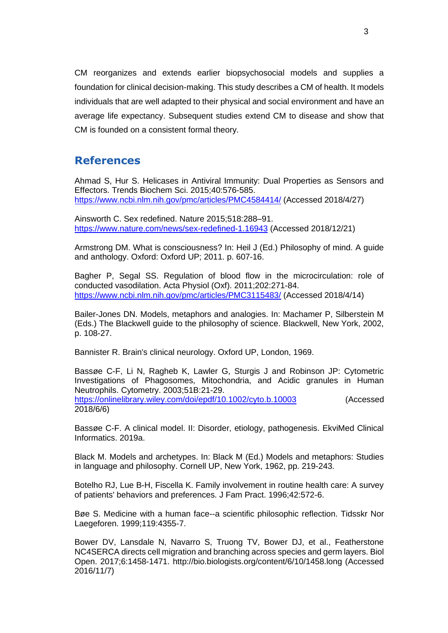CM reorganizes and extends earlier biopsychosocial models and supplies a foundation for clinical decision-making. This study describes a CM of health. It models individuals that are well adapted to their physical and social environment and have an average life expectancy. Subsequent studies extend CM to disease and show that CM is founded on a consistent formal theory.

## **References**

Ahmad S, Hur S. Helicases in Antiviral Immunity: Dual Properties as Sensors and Effectors. Trends Biochem Sci. 2015;40:576-585. <https://www.ncbi.nlm.nih.gov/pmc/articles/PMC4584414/> (Accessed 2018/4/27)

Ainsworth C. Sex redefined. Nature 2015;518:288–91. <https://www.nature.com/news/sex-redefined-1.16943> (Accessed 2018/12/21)

Armstrong DM. What is consciousness? In: Heil J (Ed.) Philosophy of mind. A guide and anthology. Oxford: Oxford UP; 2011. p. 607-16.

Bagher P, Segal SS. Regulation of blood flow in the microcirculation: role of conducted vasodilation. Acta Physiol (Oxf). 2011;202:271-84. <https://www.ncbi.nlm.nih.gov/pmc/articles/PMC3115483/> (Accessed 2018/4/14)

Bailer-Jones DN. Models, metaphors and analogies. In: Machamer P, Silberstein M (Eds.) The Blackwell guide to the philosophy of science. Blackwell, New York, 2002, p. 108-27.

Bannister R. Brain's clinical neurology. Oxford UP, London, 1969.

Bassøe C-F, Li N, Ragheb K, Lawler G, Sturgis J and Robinson JP: Cytometric Investigations of Phagosomes, Mitochondria, and Acidic granules in Human Neutrophils. Cytometry. 2003;51B:21-29. <https://onlinelibrary.wiley.com/doi/epdf/10.1002/cyto.b.10003> (Accessed 2018/6/6)

Bassøe C-F. A clinical model. II: Disorder, etiology, pathogenesis. EkviMed Clinical Informatics. 2019a.

Black M. Models and archetypes. In: Black M (Ed.) Models and metaphors: Studies in language and philosophy. Cornell UP, New York, 1962, pp. 219-243.

Botelho RJ, Lue B-H, Fiscella K. Family involvement in routine health care: A survey of patients' behaviors and preferences. J Fam Pract. 1996;42:572-6.

Bøe S. Medicine with a human face--a scientific philosophic reflection. Tidsskr Nor Laegeforen. 1999;119:4355-7.

Bower DV, Lansdale N, Navarro S, Truong TV, Bower DJ, et al., Featherstone NC4SERCA directs cell migration and branching across species and germ layers. Biol Open. 2017;6:1458-1471. http://bio.biologists.org/content/6/10/1458.long (Accessed 2016/11/7)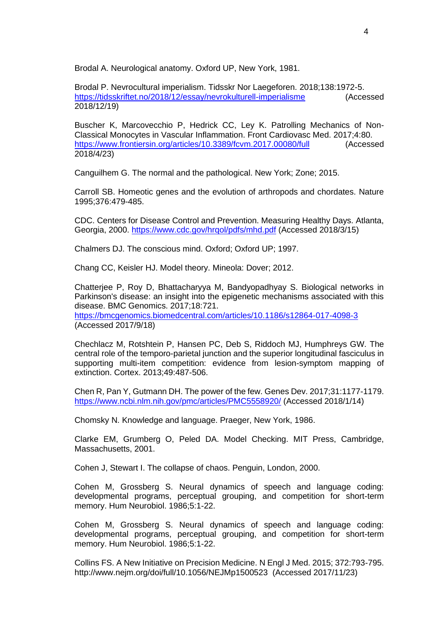Brodal A. Neurological anatomy. Oxford UP, New York, 1981.

Brodal P. Nevrocultural imperialism. Tidsskr Nor Laegeforen. 2018;138:1972-5. <https://tidsskriftet.no/2018/12/essay/nevrokulturell-imperialisme> (Accessed 2018/12/19)

Buscher K, Marcovecchio P, Hedrick CC, Ley K. Patrolling Mechanics of Non-Classical Monocytes in Vascular Inflammation. Front Cardiovasc Med. 2017;4:80. <https://www.frontiersin.org/articles/10.3389/fcvm.2017.00080/full> (Accessed 2018/4/23)

Canguilhem G. The normal and the pathological. New York; Zone; 2015.

Carroll SB. Homeotic genes and the evolution of arthropods and chordates. Nature 1995;376:479-485.

CDC. Centers for Disease Control and Prevention. Measuring Healthy Days. Atlanta, Georgia, 2000.<https://www.cdc.gov/hrqol/pdfs/mhd.pdf> (Accessed 2018/3/15)

Chalmers DJ. The conscious mind. Oxford; Oxford UP; 1997.

Chang CC, Keisler HJ. Model theory. Mineola: Dover; 2012.

Chatterjee P, Roy D, Bhattacharyya M, Bandyopadhyay S. Biological networks in Parkinson's disease: an insight into the epigenetic mechanisms associated with this disease. BMC Genomics. 2017;18:721.

<https://bmcgenomics.biomedcentral.com/articles/10.1186/s12864-017-4098-3> (Accessed 2017/9/18)

Chechlacz M, Rotshtein P, Hansen PC, Deb S, Riddoch MJ, Humphreys GW. The central role of the temporo-parietal junction and the superior longitudinal fasciculus in supporting multi-item competition: evidence from lesion-symptom mapping of extinction. Cortex. 2013;49:487-506.

Chen R, Pan Y, Gutmann DH. The power of the few. Genes Dev. 2017;31:1177-1179. <https://www.ncbi.nlm.nih.gov/pmc/articles/PMC5558920/> (Accessed 2018/1/14)

Chomsky N. Knowledge and language. Praeger, New York, 1986.

Clarke EM, Grumberg O, Peled DA. Model Checking. MIT Press, Cambridge, Massachusetts, 2001.

Cohen J, Stewart I. The collapse of chaos. Penguin, London, 2000.

Cohen M, Grossberg S. Neural dynamics of speech and language coding: developmental programs, perceptual grouping, and competition for short-term memory. Hum Neurobiol. 1986;5:1-22.

Cohen M, Grossberg S. Neural dynamics of speech and language coding: developmental programs, perceptual grouping, and competition for short-term memory. Hum Neurobiol. 1986;5:1-22.

Collins FS. A New Initiative on Precision Medicine. N Engl J Med. 2015; 372:793-795. http://www.nejm.org/doi/full/10.1056/NEJMp1500523 (Accessed 2017/11/23)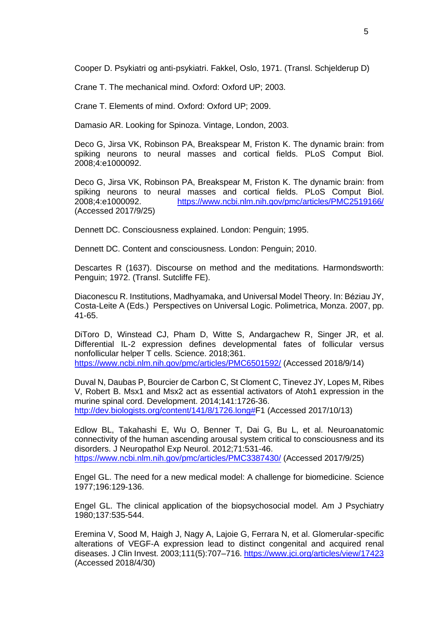Cooper D. Psykiatri og anti-psykiatri. Fakkel, Oslo, 1971. (Transl. Schjelderup D)

Crane T. The mechanical mind. Oxford: Oxford UP; 2003.

Crane T. Elements of mind. Oxford: Oxford UP; 2009.

Damasio AR. Looking for Spinoza. Vintage, London, 2003.

Deco G, Jirsa VK, Robinson PA, Breakspear M, Friston K. The dynamic brain: from spiking neurons to neural masses and cortical fields. PLoS Comput Biol. 2008;4:e1000092.

Deco G, Jirsa VK, Robinson PA, Breakspear M, Friston K. The dynamic brain: from spiking neurons to neural masses and cortical fields. PLoS Comput Biol. 2008;4:e1000092. <https://www.ncbi.nlm.nih.gov/pmc/articles/PMC2519166/> (Accessed 2017/9/25)

Dennett DC. Consciousness explained. London: Penguin; 1995.

Dennett DC. Content and consciousness. London: Penguin; 2010.

Descartes R (1637). Discourse on method and the meditations. Harmondsworth: Penguin; 1972. (Transl. Sutcliffe FE).

Diaconescu R. Institutions, Madhyamaka, and Universal Model Theory. In: Béziau JY, Costa-Leite A (Eds.) Perspectives on Universal Logic. Polimetrica, Monza. 2007, pp. 41-65.

DiToro D, Winstead CJ, Pham D, Witte S, Andargachew R, Singer JR, et al. Differential IL-2 expression defines developmental fates of follicular versus nonfollicular helper T cells. Science. 2018;361. <https://www.ncbi.nlm.nih.gov/pmc/articles/PMC6501592/> (Accessed 2018/9/14)

Duval N, Daubas P, Bourcier de Carbon C, St Cloment C, Tinevez JY, Lopes M, Ribes V, Robert B. Msx1 and Msx2 act as essential activators of Atoh1 expression in the murine spinal cord. Development. 2014;141:1726-36. [http://dev.biologists.org/content/141/8/1726.long#F](http://dev.biologists.org/content/141/8/1726.long)1 (Accessed 2017/10/13)

Edlow BL, Takahashi E, Wu O, Benner T, Dai G, Bu L, et al. Neuroanatomic connectivity of the human ascending arousal system critical to consciousness and its disorders. J Neuropathol Exp Neurol. 2012;71:531-46. <https://www.ncbi.nlm.nih.gov/pmc/articles/PMC3387430/> (Accessed 2017/9/25)

Engel GL. The need for a new medical model: A challenge for biomedicine. Science 1977;196:129-136.

Engel GL. The clinical application of the biopsychosocial model. Am J Psychiatry 1980;137:535-544.

Eremina V, Sood M, Haigh J, Nagy A, Lajoie G, Ferrara N, et al. Glomerular-specific alterations of VEGF-A expression lead to distinct congenital and acquired renal diseases. J Clin Invest. 2003;111(5):707-716.<https://www.jci.org/articles/view/17423> (Accessed 2018/4/30)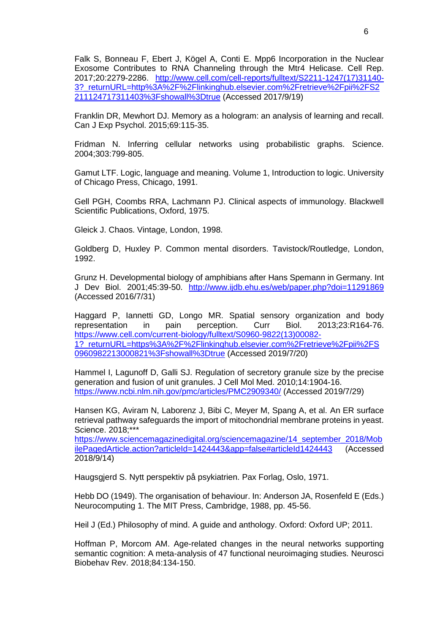Falk S, Bonneau F, Ebert J, Kögel A, Conti E. Mpp6 Incorporation in the Nuclear Exosome Contributes to RNA Channeling through the Mtr4 Helicase. Cell Rep. 2017;20:2279-2286. [http://www.cell.com/cell-reports/fulltext/S2211-1247\(17\)31140-](http://www.cell.com/cell-reports/fulltext/S2211-1247(17)31140-3?_returnURL=http%3A%2F%2Flinkinghub.elsevier.com%2Fretrieve%2Fpii%2FS2211124717311403%3Fshowall%3Dtrue) [3?\\_returnURL=http%3A%2F%2Flinkinghub.elsevier.com%2Fretrieve%2Fpii%2FS2](http://www.cell.com/cell-reports/fulltext/S2211-1247(17)31140-3?_returnURL=http%3A%2F%2Flinkinghub.elsevier.com%2Fretrieve%2Fpii%2FS2211124717311403%3Fshowall%3Dtrue) [211124717311403%3Fshowall%3Dtrue](http://www.cell.com/cell-reports/fulltext/S2211-1247(17)31140-3?_returnURL=http%3A%2F%2Flinkinghub.elsevier.com%2Fretrieve%2Fpii%2FS2211124717311403%3Fshowall%3Dtrue) (Accessed 2017/9/19)

Franklin DR, Mewhort DJ. Memory as a hologram: an analysis of learning and recall. Can J Exp Psychol. 2015;69:115-35.

Fridman N. Inferring cellular networks using probabilistic graphs. Science. 2004;303:799-805.

Gamut LTF. Logic, language and meaning. Volume 1, Introduction to logic. University of Chicago Press, Chicago, 1991.

Gell PGH, Coombs RRA, Lachmann PJ. Clinical aspects of immunology. Blackwell Scientific Publications, Oxford, 1975.

Gleick J. Chaos. Vintage, London, 1998.

Goldberg D, Huxley P. Common mental disorders. Tavistock/Routledge, London, 1992.

Grunz H. Developmental biology of amphibians after Hans Spemann in Germany. Int J Dev Biol. 2001;45:39-50. <http://www.ijdb.ehu.es/web/paper.php?doi=11291869> (Accessed 2016/7/31)

Haggard P, Iannetti GD, Longo MR. Spatial sensory organization and body representation in pain perception. Curr Biol. 2013;23:R164-76. [https://www.cell.com/current-biology/fulltext/S0960-9822\(13\)00082-](https://www.cell.com/current-biology/fulltext/S0960-9822(13)00082-1?_returnURL=https%3A%2F%2Flinkinghub.elsevier.com%2Fretrieve%2Fpii%2FS0960982213000821%3Fshowall%3Dtrue) [1?\\_returnURL=https%3A%2F%2Flinkinghub.elsevier.com%2Fretrieve%2Fpii%2FS](https://www.cell.com/current-biology/fulltext/S0960-9822(13)00082-1?_returnURL=https%3A%2F%2Flinkinghub.elsevier.com%2Fretrieve%2Fpii%2FS0960982213000821%3Fshowall%3Dtrue) [0960982213000821%3Fshowall%3Dtrue](https://www.cell.com/current-biology/fulltext/S0960-9822(13)00082-1?_returnURL=https%3A%2F%2Flinkinghub.elsevier.com%2Fretrieve%2Fpii%2FS0960982213000821%3Fshowall%3Dtrue) (Accessed 2019/7/20)

Hammel I, Lagunoff D, Galli SJ. Regulation of secretory granule size by the precise generation and fusion of unit granules. J Cell Mol Med. 2010;14:1904-16. <https://www.ncbi.nlm.nih.gov/pmc/articles/PMC2909340/> (Accessed 2019/7/29)

Hansen KG, Aviram N, Laborenz J, Bibi C, Meyer M, Spang A, et al. An ER surface retrieval pathway safeguards the import of mitochondrial membrane proteins in yeast. Science. 2018;\*\*\*

[https://www.sciencemagazinedigital.org/sciencemagazine/14\\_september\\_2018/Mob](https://www.sciencemagazinedigital.org/sciencemagazine/14_september_2018/MobilePagedArticle.action?articleId=1424443&app=false#articleId1424443) [ilePagedArticle.action?articleId=1424443&app=false#articleId1424443](https://www.sciencemagazinedigital.org/sciencemagazine/14_september_2018/MobilePagedArticle.action?articleId=1424443&app=false#articleId1424443) (Accessed 2018/9/14)

Haugsgjerd S. Nytt perspektiv på psykiatrien. Pax Forlag, Oslo, 1971.

Hebb DO (1949). The organisation of behaviour. In: Anderson JA, Rosenfeld E (Eds.) Neurocomputing 1. The MIT Press, Cambridge, 1988, pp. 45-56.

Heil J (Ed.) Philosophy of mind. A guide and anthology. Oxford: Oxford UP; 2011.

Hoffman P, Morcom AM. Age-related changes in the neural networks supporting semantic cognition: A meta-analysis of 47 functional neuroimaging studies. Neurosci Biobehav Rev. 2018;84:134-150.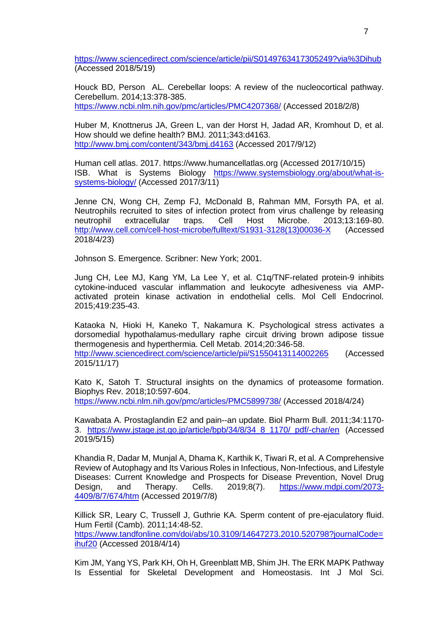<https://www.sciencedirect.com/science/article/pii/S0149763417305249?via%3Dihub> (Accessed 2018/5/19)

Houck BD, Person AL. Cerebellar loops: A review of the nucleocortical pathway. Cerebellum. 2014;13:378-385.

<https://www.ncbi.nlm.nih.gov/pmc/articles/PMC4207368/> (Accessed 2018/2/8)

Huber M, Knottnerus JA, Green L, van der Horst H, Jadad AR, Kromhout D, et al. How should we define health? BMJ. 2011;343:d4163. <http://www.bmj.com/content/343/bmj.d4163> (Accessed 2017/9/12)

Human cell atlas. 2017. https://www.humancellatlas.org (Accessed 2017/10/15) ISB. What is Systems Biology [https://www.systemsbiology.org/about/what-is](https://www.systemsbiology.org/about/what-is-systems-biology/)[systems-biology/](https://www.systemsbiology.org/about/what-is-systems-biology/) (Accessed 2017/3/11)

Jenne CN, Wong CH, Zemp FJ, McDonald B, Rahman MM, Forsyth PA, et al. Neutrophils recruited to sites of infection protect from virus challenge by releasing<br>neutrophil extracellular traps. Cell Host Microbe. 2013;13:169-80. neutrophil extracellular traps. Cell Host Microbe. 2013;13:169-80. [http://www.cell.com/cell-host-microbe/fulltext/S1931-3128\(13\)00036-X](http://www.cell.com/cell-host-microbe/fulltext/S1931-3128(13)00036-X) (Accessed 2018/4/23)

Johnson S. Emergence. Scribner: New York; 2001.

Jung CH, Lee MJ, Kang YM, La Lee Y, et al. C1q/TNF-related protein-9 inhibits cytokine-induced vascular inflammation and leukocyte adhesiveness via AMPactivated protein kinase activation in endothelial cells. Mol Cell Endocrinol. 2015;419:235-43.

Kataoka N, Hioki H, Kaneko T, Nakamura K. Psychological stress activates a dorsomedial hypothalamus-medullary raphe circuit driving brown adipose tissue thermogenesis and hyperthermia. Cell Metab. 2014;20:346-58.

<http://www.sciencedirect.com/science/article/pii/S1550413114002265> (Accessed 2015/11/17)

Kato K, Satoh T. Structural insights on the dynamics of proteasome formation. Biophys Rev. 2018;10:597-604.

<https://www.ncbi.nlm.nih.gov/pmc/articles/PMC5899738/> (Accessed 2018/4/24)

Kawabata A. Prostaglandin E2 and pain--an update. Biol Pharm Bull. 2011;34:1170- 3. [https://www.jstage.jst.go.jp/article/bpb/34/8/34\\_8\\_1170/\\_pdf/-char/en](https://www.jstage.jst.go.jp/article/bpb/34/8/34_8_1170/_pdf/-char/en) (Accessed 2019/5/15)

Khandia R, Dadar M, Munjal A, Dhama K, Karthik K, Tiwari R, et al. A Comprehensive Review of Autophagy and Its Various Roles in Infectious, Non-Infectious, and Lifestyle Diseases: Current Knowledge and Prospects for Disease Prevention, Novel Drug Design, and Therapy. Cells. 2019;8(7). [https://www.mdpi.com/2073-](https://www.mdpi.com/2073-4409/8/7/674/htm) [4409/8/7/674/htm](https://www.mdpi.com/2073-4409/8/7/674/htm) (Accessed 2019/7/8)

Killick SR, Leary C, Trussell J, Guthrie KA. Sperm content of pre-ejaculatory fluid. Hum Fertil (Camb). 2011;14:48-52. [https://www.tandfonline.com/doi/abs/10.3109/14647273.2010.520798?journalCode=](https://www.tandfonline.com/doi/abs/10.3109/14647273.2010.520798?journalCode=ihuf20) [ihuf20](https://www.tandfonline.com/doi/abs/10.3109/14647273.2010.520798?journalCode=ihuf20) (Accessed 2018/4/14)

Kim JM, Yang YS, Park KH, Oh H, Greenblatt MB, Shim JH. The ERK MAPK Pathway Is Essential for Skeletal Development and Homeostasis. Int J Mol Sci.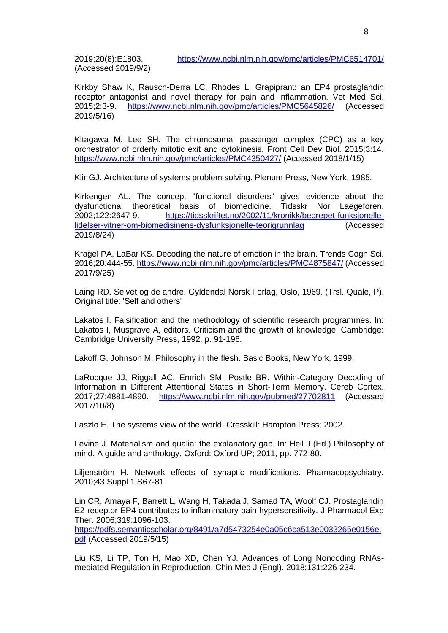(Accessed 2019/9/2)

Kirkby Shaw K, Rausch-Derra LC, Rhodes L. Grapiprant: an EP4 prostaglandin receptor antagonist and novel therapy for pain and inflammation. Vet Med Sci. 2015;2:3-9. <https://www.ncbi.nlm.nih.gov/pmc/articles/PMC5645826/> (Accessed 2019/5/16)

Kitagawa M, Lee SH. The chromosomal passenger complex (CPC) as a key orchestrator of orderly mitotic exit and cytokinesis. Front Cell Dev Biol. 2015;3:14. <https://www.ncbi.nlm.nih.gov/pmc/articles/PMC4350427/> (Accessed 2018/1/15)

Klir GJ. Architecture of systems problem solving. Plenum Press, New York, 1985.

Kirkengen AL. The concept "functional disorders" gives evidence about the dysfunctional theoretical basis of biomedicine. Tidsskr Nor Laegeforen. 2002;122:2647-9. [https://tidsskriftet.no/2002/11/kronikk/begrepet-funksjonelle](https://tidsskriftet.no/2002/11/kronikk/begrepet-funksjonelle-lidelser-vitner-om-biomedisinens-dysfunksjonelle-teorigrunnlag)[lidelser-vitner-om-biomedisinens-dysfunksjonelle-teorigrunnlag](https://tidsskriftet.no/2002/11/kronikk/begrepet-funksjonelle-lidelser-vitner-om-biomedisinens-dysfunksjonelle-teorigrunnlag) (Accessed 2019/8/24)

Kragel PA, LaBar KS. Decoding the nature of emotion in the brain. Trends Cogn Sci. 2016;20:444-55.<https://www.ncbi.nlm.nih.gov/pmc/articles/PMC4875847/> (Accessed 2017/9/25)

Laing RD. Selvet og de andre. Gyldendal Norsk Forlag, Oslo, 1969. (Trsl. Quale, P). Original title: 'Self and others'

Lakatos I. Falsification and the methodology of scientific research programmes. In: Lakatos I, Musgrave A, editors. Criticism and the growth of knowledge. Cambridge: Cambridge University Press, 1992. p. 91-196.

Lakoff G, Johnson M. Philosophy in the flesh. Basic Books, New York, 1999.

LaRocque JJ, Riggall AC, Emrich SM, Postle BR. Within-Category Decoding of Information in Different Attentional States in Short-Term Memory. Cereb Cortex. 2017;27:4881-4890. <https://www.ncbi.nlm.nih.gov/pubmed/27702811> (Accessed 2017/10/8)

Laszlo E. The systems view of the world. Cresskill: Hampton Press; 2002.

Levine J. Materialism and qualia: the explanatory gap. In: Heil J (Ed.) Philosophy of mind. A guide and anthology. Oxford: Oxford UP; 2011, pp. 772-80.

Liljenström H. Network effects of synaptic modifications. Pharmacopsychiatry. 2010;43 Suppl 1:S67-81.

Lin CR, Amaya F, Barrett L, Wang H, Takada J, Samad TA, Woolf CJ. Prostaglandin E2 receptor EP4 contributes to inflammatory pain hypersensitivity. J Pharmacol Exp Ther. 2006;319:1096-103.

[https://pdfs.semanticscholar.org/8491/a7d5473254e0a05c6ca513e0033265e0156e.](https://pdfs.semanticscholar.org/8491/a7d5473254e0a05c6ca513e0033265e0156e.pdf) [pdf](https://pdfs.semanticscholar.org/8491/a7d5473254e0a05c6ca513e0033265e0156e.pdf) (Accessed 2019/5/15)

Liu KS, Li TP, Ton H, Mao XD, Chen YJ. Advances of Long Noncoding RNAsmediated Regulation in Reproduction. Chin Med J (Engl). 2018;131:226-234.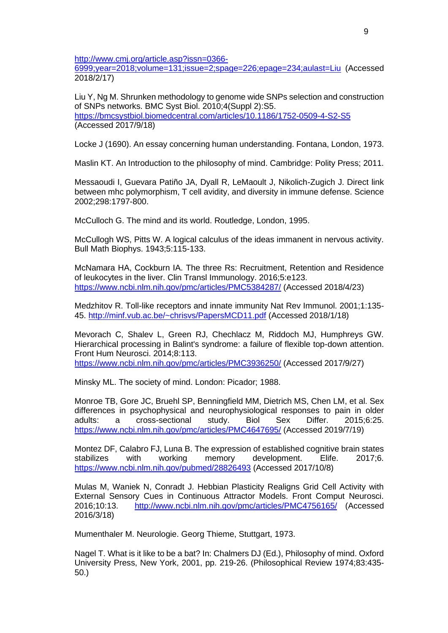[http://www.cmj.org/article.asp?issn=0366-](http://www.cmj.org/article.asp?issn=0366-6999;year=2018;volume=131;issue=2;spage=226;epage=234;aulast=Liu)

[6999;year=2018;volume=131;issue=2;spage=226;epage=234;aulast=Liu](http://www.cmj.org/article.asp?issn=0366-6999;year=2018;volume=131;issue=2;spage=226;epage=234;aulast=Liu) (Accessed 2018/2/17)

Liu Y, Ng M. Shrunken methodology to genome wide SNPs selection and construction of SNPs networks. BMC Syst Biol. 2010;4(Suppl 2):S5. <https://bmcsystbiol.biomedcentral.com/articles/10.1186/1752-0509-4-S2-S5> (Accessed 2017/9/18)

Locke J (1690). An essay concerning human understanding. Fontana, London, 1973.

Maslin KT. An Introduction to the philosophy of mind. Cambridge: Polity Press; 2011.

Messaoudi I, Guevara Patiño JA, Dyall R, LeMaoult J, Nikolich-Zugich J. Direct link between mhc polymorphism, T cell avidity, and diversity in immune defense. Science 2002;298:1797-800.

McCulloch G. The mind and its world. Routledge, London, 1995.

McCullogh WS, Pitts W. A logical calculus of the ideas immanent in nervous activity. Bull Math Biophys. 1943;5:115-133.

McNamara HA, Cockburn IA. The three Rs: Recruitment, Retention and Residence of leukocytes in the liver. Clin Transl Immunology. 2016;5:e123. <https://www.ncbi.nlm.nih.gov/pmc/articles/PMC5384287/> (Accessed 2018/4/23)

Medzhitov R. Toll-like receptors and innate immunity Nat Rev Immunol. 2001;1:135- 45.<http://minf.vub.ac.be/~chrisvs/PapersMCD11.pdf> (Accessed 2018/1/18)

Mevorach C, Shalev L, Green RJ, Chechlacz M, Riddoch MJ, Humphreys GW. Hierarchical processing in Balint's syndrome: a failure of flexible top-down attention. Front Hum Neurosci. 2014;8:113.

<https://www.ncbi.nlm.nih.gov/pmc/articles/PMC3936250/> (Accessed 2017/9/27)

Minsky ML. The society of mind. London: Picador; 1988.

Monroe TB, Gore JC, Bruehl SP, Benningfield MM, Dietrich MS, Chen LM, et al. Sex differences in psychophysical and neurophysiological responses to pain in older adults: a cross-sectional study. Biol Sex Differ. 2015;6:25. <https://www.ncbi.nlm.nih.gov/pmc/articles/PMC4647695/> (Accessed 2019/7/19)

Montez DF, Calabro FJ, Luna B. The expression of established cognitive brain states stabilizes with working memory development. Elife. 2017;6. <https://www.ncbi.nlm.nih.gov/pubmed/28826493> (Accessed 2017/10/8)

Mulas M, Waniek N, Conradt J. Hebbian Plasticity Realigns Grid Cell Activity with External Sensory Cues in Continuous Attractor Models. Front Comput Neurosci. 2016;10:13. <http://www.ncbi.nlm.nih.gov/pmc/articles/PMC4756165/> (Accessed 2016/3/18)

Mumenthaler M. Neurologie. Georg Thieme, Stuttgart, 1973.

Nagel T. What is it like to be a bat? In: Chalmers DJ (Ed.), Philosophy of mind. Oxford University Press, New York, 2001, pp. 219-26. (Philosophical Review 1974;83:435- 50.)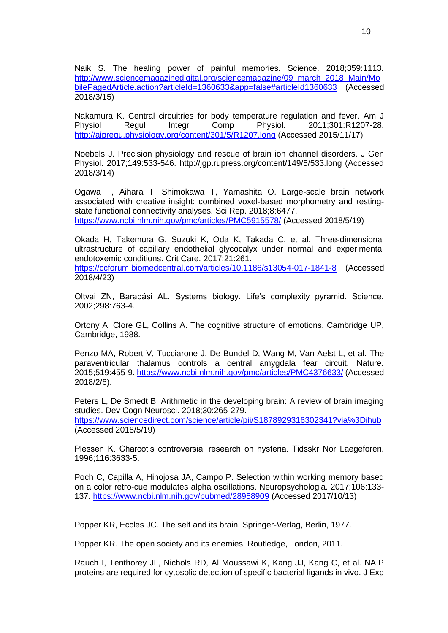Naik S. The healing power of painful memories. Science. 2018;359:1113. [http://www.sciencemagazinedigital.org/sciencemagazine/09\\_march\\_2018\\_Main/Mo](http://www.sciencemagazinedigital.org/sciencemagazine/09_march_2018_Main/MobilePagedArticle.action?articleId=1360633&app=false#articleId1360633) [bilePagedArticle.action?articleId=1360633&app=false#articleId1360633](http://www.sciencemagazinedigital.org/sciencemagazine/09_march_2018_Main/MobilePagedArticle.action?articleId=1360633&app=false#articleId1360633) (Accessed 2018/3/15)

Nakamura K. Central circuitries for body temperature regulation and fever. Am J Physiol Regul Integr Comp Physiol. 2011;301:R1207-28. <http://ajpregu.physiology.org/content/301/5/R1207.long> (Accessed 2015/11/17)

Noebels J. Precision physiology and rescue of brain ion channel disorders. J Gen Physiol. 2017;149:533-546. http://jgp.rupress.org/content/149/5/533.long (Accessed 2018/3/14)

Ogawa T, Aihara T, Shimokawa T, Yamashita O. Large-scale brain network associated with creative insight: combined voxel-based morphometry and restingstate functional connectivity analyses. Sci Rep. 2018;8:6477. <https://www.ncbi.nlm.nih.gov/pmc/articles/PMC5915578/> (Accessed 2018/5/19)

Okada H, Takemura G, Suzuki K, Oda K, Takada C, et al. Three-dimensional ultrastructure of capillary endothelial glycocalyx under normal and experimental endotoxemic conditions. Crit Care. 2017;21:261. <https://ccforum.biomedcentral.com/articles/10.1186/s13054-017-1841-8> (Accessed 2018/4/23)

Oltvai ZN, Barabási AL. Systems biology. Life's complexity pyramid. Science. 2002;298:763-4.

Ortony A, Clore GL, Collins A. The cognitive structure of emotions. Cambridge UP, Cambridge, 1988.

Penzo MA, Robert V, Tucciarone J, De Bundel D, Wang M, Van Aelst L, et al. The paraventricular thalamus controls a central amygdala fear circuit. Nature. 2015;519:455-9.<https://www.ncbi.nlm.nih.gov/pmc/articles/PMC4376633/> (Accessed 2018/2/6).

Peters L, De Smedt B. Arithmetic in the developing brain: A review of brain imaging studies. Dev Cogn Neurosci. 2018;30:265-279. <https://www.sciencedirect.com/science/article/pii/S1878929316302341?via%3Dihub> (Accessed 2018/5/19)

Plessen K. Charcot's controversial research on hysteria. Tidsskr Nor Laegeforen. 1996;116:3633-5.

Poch C, Capilla A, Hinojosa JA, Campo P. Selection within working memory based on a color retro-cue modulates alpha oscillations. Neuropsychologia. 2017;106:133- 137.<https://www.ncbi.nlm.nih.gov/pubmed/28958909> (Accessed 2017/10/13)

Popper KR, Eccles JC. The self and its brain. Springer-Verlag, Berlin, 1977.

Popper KR. The open society and its enemies. Routledge, London, 2011.

Rauch I, Tenthorey JL, Nichols RD, Al Moussawi K, Kang JJ, Kang C, et al. NAIP proteins are required for cytosolic detection of specific bacterial ligands in vivo. J Exp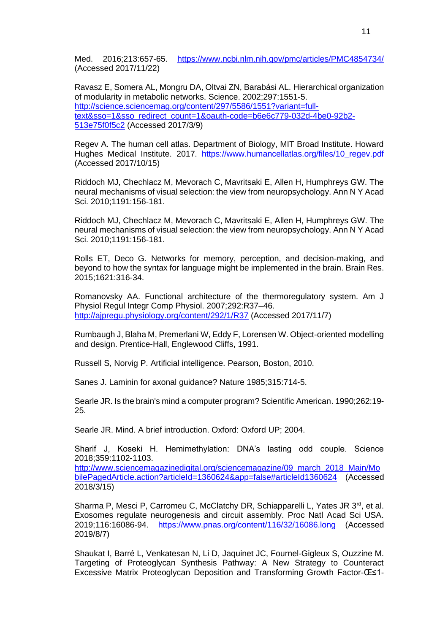Med. 2016;213:657-65. <https://www.ncbi.nlm.nih.gov/pmc/articles/PMC4854734/> (Accessed 2017/11/22)

Ravasz E, Somera AL, Mongru DA, Oltvai ZN, Barabási AL. Hierarchical organization of modularity in metabolic networks. Science. 2002;297:1551-5. [http://science.sciencemag.org/content/297/5586/1551?variant=full](http://science.sciencemag.org/content/297/5586/1551?variant=full-text&sso=1&sso_redirect_count=1&oauth-code=b6e6c779-032d-4be0-92b2-513e75f0f5c2)[text&sso=1&sso\\_redirect\\_count=1&oauth-code=b6e6c779-032d-4be0-92b2-](http://science.sciencemag.org/content/297/5586/1551?variant=full-text&sso=1&sso_redirect_count=1&oauth-code=b6e6c779-032d-4be0-92b2-513e75f0f5c2) [513e75f0f5c2](http://science.sciencemag.org/content/297/5586/1551?variant=full-text&sso=1&sso_redirect_count=1&oauth-code=b6e6c779-032d-4be0-92b2-513e75f0f5c2) (Accessed 2017/3/9)

Regev A. The human cell atlas. Department of Biology, MIT Broad Institute. Howard Hughes Medical Institute. 2017. [https://www.humancellatlas.org/files/10\\_regev.pdf](https://www.humancellatlas.org/files/10_regev.pdf) (Accessed 2017/10/15)

Riddoch MJ, Chechlacz M, Mevorach C, Mavritsaki E, Allen H, Humphreys GW. The neural mechanisms of visual selection: the view from neuropsychology. Ann N Y Acad Sci. 2010;1191:156-181.

Riddoch MJ, Chechlacz M, Mevorach C, Mavritsaki E, Allen H, Humphreys GW. The neural mechanisms of visual selection: the view from neuropsychology. Ann N Y Acad Sci. 2010;1191:156-181.

Rolls ET, Deco G. Networks for memory, perception, and decision-making, and beyond to how the syntax for language might be implemented in the brain. Brain Res. 2015;1621:316-34.

Romanovsky AA. Functional architecture of the thermoregulatory system. Am J Physiol Regul Integr Comp Physiol. 2007;292:R37–46. <http://ajpregu.physiology.org/content/292/1/R37> (Accessed 2017/11/7)

Rumbaugh J, Blaha M, Premerlani W, Eddy F, Lorensen W. Object-oriented modelling and design. Prentice-Hall, Englewood Cliffs, 1991.

Russell S, Norvig P. Artificial intelligence. Pearson, Boston, 2010.

Sanes J. Laminin for axonal guidance? Nature 1985;315:714-5.

Searle JR. Is the brain's mind a computer program? Scientific American. 1990;262:19- 25.

Searle JR. Mind. A brief introduction. Oxford: Oxford UP; 2004.

Sharif J, Koseki H. Hemimethylation: DNA's lasting odd couple. Science 2018;359:1102-1103.

[http://www.sciencemagazinedigital.org/sciencemagazine/09\\_march\\_2018\\_Main/Mo](http://www.sciencemagazinedigital.org/sciencemagazine/09_march_2018_Main/MobilePagedArticle.action?articleId=1360624&app=false#articleId1360624) [bilePagedArticle.action?articleId=1360624&app=false#articleId1360624](http://www.sciencemagazinedigital.org/sciencemagazine/09_march_2018_Main/MobilePagedArticle.action?articleId=1360624&app=false#articleId1360624) (Accessed 2018/3/15)

Sharma P, Mesci P, Carromeu C, McClatchy DR, Schiapparelli L, Yates JR 3<sup>rd</sup>, et al. Exosomes regulate neurogenesis and circuit assembly. Proc Natl Acad Sci USA. 2019;116:16086-94. <https://www.pnas.org/content/116/32/16086.long> (Accessed 2019/8/7)

Shaukat I, Barré L, Venkatesan N, Li D, Jaquinet JC, Fournel-Gigleux S, Ouzzine M. Targeting of Proteoglycan Synthesis Pathway: A New Strategy to Counteract Excessive Matrix Proteoglycan Deposition and Transforming Growth Factor-β1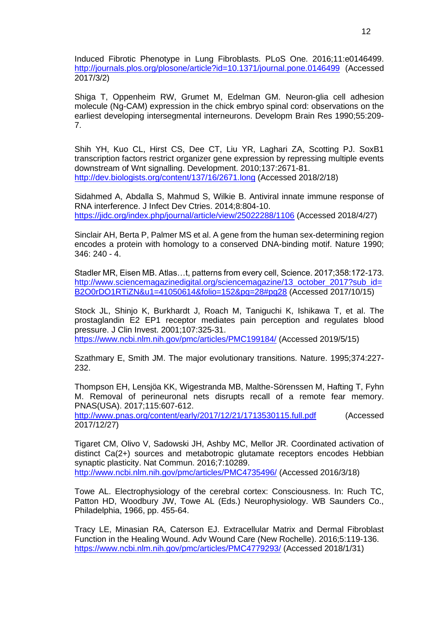Induced Fibrotic Phenotype in Lung Fibroblasts. PLoS One. 2016;11:e0146499. <http://journals.plos.org/plosone/article?id=10.1371/journal.pone.0146499> (Accessed 2017/3/2)

Shiga T, Oppenheim RW, Grumet M, Edelman GM. Neuron-glia cell adhesion molecule (Ng-CAM) expression in the chick embryo spinal cord: observations on the earliest developing intersegmental interneurons. Developm Brain Res 1990;55:209- 7.

Shih YH, Kuo CL, Hirst CS, Dee CT, Liu YR, Laghari ZA, Scotting PJ. SoxB1 transcription factors restrict organizer gene expression by repressing multiple events downstream of Wnt signalling. Development. 2010;137:2671-81. <http://dev.biologists.org/content/137/16/2671.long> (Accessed 2018/2/18)

Sidahmed A, Abdalla S, Mahmud S, Wilkie B. Antiviral innate immune response of RNA interference. J Infect Dev Ctries. 2014;8:804-10. <https://jidc.org/index.php/journal/article/view/25022288/1106> (Accessed 2018/4/27)

Sinclair AH, Berta P, Palmer MS et al. A gene from the human sex-determining region encodes a protein with homology to a conserved DNA-binding motif. Nature 1990; 346: 240 - 4.

Stadler MR, Eisen MB. Atlas…t, patterns from every cell, Science. 2017;358:172-173. [http://www.sciencemagazinedigital.org/sciencemagazine/13\\_october\\_2017?sub\\_id=](http://www.sciencemagazinedigital.org/sciencemagazine/13_october_2017?sub_id=B2O0rDO1RTiZN&u1=41050614&folio=152&pg=28#pg28) [B2O0rDO1RTiZN&u1=41050614&folio=152&pg=28#pg28](http://www.sciencemagazinedigital.org/sciencemagazine/13_october_2017?sub_id=B2O0rDO1RTiZN&u1=41050614&folio=152&pg=28#pg28) (Accessed 2017/10/15)

Stock JL, Shinjo K, Burkhardt J, Roach M, Taniguchi K, Ishikawa T, et al. The prostaglandin E2 EP1 receptor mediates pain perception and regulates blood pressure. J Clin Invest. 2001;107:325-31. <https://www.ncbi.nlm.nih.gov/pmc/articles/PMC199184/> (Accessed 2019/5/15)

Szathmary E, Smith JM. The major evolutionary transitions. Nature. 1995;374:227- 232.

Thompson EH, Lensjöa KK, Wigestranda MB, Malthe-Sörenssen M, Hafting T, Fyhn M. Removal of perineuronal nets disrupts recall of a remote fear memory. PNAS(USA). 2017;115:607-612.

<http://www.pnas.org/content/early/2017/12/21/1713530115.full.pdf> (Accessed 2017/12/27)

Tigaret CM, Olivo V, Sadowski JH, Ashby MC, Mellor JR. Coordinated activation of distinct Ca(2+) sources and metabotropic glutamate receptors encodes Hebbian synaptic plasticity. Nat Commun. 2016;7:10289. <http://www.ncbi.nlm.nih.gov/pmc/articles/PMC4735496/> (Accessed 2016/3/18)

Towe AL. Electrophysiology of the cerebral cortex: Consciousness. In: Ruch TC, Patton HD, Woodbury JW, Towe AL (Eds.) Neurophysiology. WB Saunders Co., Philadelphia, 1966, pp. 455-64.

Tracy LE, Minasian RA, Caterson EJ. Extracellular Matrix and Dermal Fibroblast Function in the Healing Wound. Adv Wound Care (New Rochelle). 2016;5:119-136. <https://www.ncbi.nlm.nih.gov/pmc/articles/PMC4779293/> (Accessed 2018/1/31)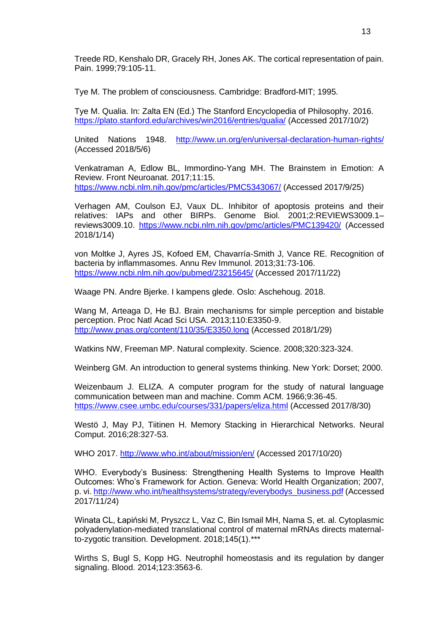Treede RD, Kenshalo DR, Gracely RH, Jones AK. The cortical representation of pain. Pain. 1999;79:105-11.

Tye M. The problem of consciousness. Cambridge: Bradford-MIT; 1995.

Tye M. Qualia. In: Zalta EN (Ed.) The Stanford Encyclopedia of Philosophy. 2016. <https://plato.stanford.edu/archives/win2016/entries/qualia/> (Accessed 2017/10/2)

United Nations 1948. <http://www.un.org/en/universal-declaration-human-rights/> (Accessed 2018/5/6)

Venkatraman A, Edlow BL, Immordino-Yang MH. The Brainstem in Emotion: A Review. Front Neuroanat. 2017;11:15. <https://www.ncbi.nlm.nih.gov/pmc/articles/PMC5343067/> (Accessed 2017/9/25)

Verhagen AM, Coulson EJ, Vaux DL. Inhibitor of apoptosis proteins and their relatives: IAPs and other BIRPs. Genome Biol. 2001;2:REVIEWS3009.1– reviews3009.10. <https://www.ncbi.nlm.nih.gov/pmc/articles/PMC139420/> (Accessed 2018/1/14)

von Moltke J, Ayres JS, Kofoed EM, Chavarría-Smith J, Vance RE. Recognition of bacteria by inflammasomes. Annu Rev Immunol. 2013;31:73-106. <https://www.ncbi.nlm.nih.gov/pubmed/23215645/> (Accessed 2017/11/22)

Waage PN. Andre Bjerke. I kampens glede. Oslo: Aschehoug. 2018.

Wang M, Arteaga D, He BJ. Brain mechanisms for simple perception and bistable perception. Proc Natl Acad Sci USA. 2013;110:E3350-9. <http://www.pnas.org/content/110/35/E3350.long> (Accessed 2018/1/29)

Watkins NW, Freeman MP. Natural complexity. Science. 2008;320:323-324.

Weinberg GM. An introduction to general systems thinking. New York: Dorset; 2000.

Weizenbaum J. ELIZA. A computer program for the study of natural language communication between man and machine. Comm ACM. 1966;9:36-45. <https://www.csee.umbc.edu/courses/331/papers/eliza.html> (Accessed 2017/8/30)

Westö J, May PJ, Tiitinen H. Memory Stacking in Hierarchical Networks. Neural Comput. 2016;28:327-53.

WHO 2017.<http://www.who.int/about/mission/en/> (Accessed 2017/10/20)

WHO. Everybody's Business: Strengthening Health Systems to Improve Health Outcomes: Who's Framework for Action. Geneva: World Health Organization; 2007, p. vi. [http://www.who.int/healthsystems/strategy/everybodys\\_business.pdf](http://www.who.int/healthsystems/strategy/everybodys_business.pdf) (Accessed 2017/11/24)

Winata CL, Łapiński M, Pryszcz L, Vaz C, Bin Ismail MH, Nama S, et. al. Cytoplasmic polyadenylation-mediated translational control of maternal mRNAs directs maternalto-zygotic transition. Development. 2018;145(1).\*\*\*

Wirths S, Bugl S, Kopp HG. Neutrophil homeostasis and its regulation by danger signaling. Blood. 2014;123:3563-6.